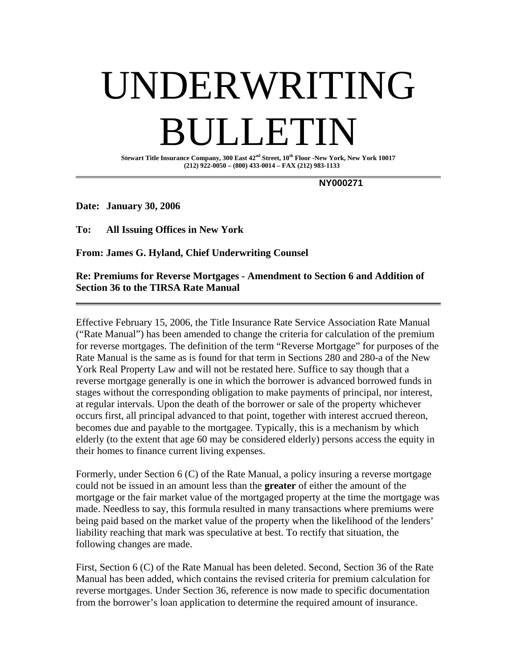# UNDERWRITING **DET**

**Stewart Title Insurance Company, 300 East 42nd Street, 10th Floor -New York, New York 10017 (212) 922-0050 – (800) 433-0014 – FAX (212) 983-1133** 

 **NY000271** 

**Date: January 30, 2006** 

**To: All Issuing Offices in New York** 

**From: James G. Hyland, Chief Underwriting Counsel** 

#### **Re: Premiums for Reverse Mortgages - Amendment to Section 6 and Addition of Section 36 to the TIRSA Rate Manual**

Effective February 15, 2006, the Title Insurance Rate Service Association Rate Manual ("Rate Manual") has been amended to change the criteria for calculation of the premium for reverse mortgages. The definition of the term "Reverse Mortgage" for purposes of the Rate Manual is the same as is found for that term in Sections 280 and 280-a of the New York Real Property Law and will not be restated here. Suffice to say though that a reverse mortgage generally is one in which the borrower is advanced borrowed funds in stages without the corresponding obligation to make payments of principal, nor interest, at regular intervals. Upon the death of the borrower or sale of the property whichever occurs first, all principal advanced to that point, together with interest accrued thereon, becomes due and payable to the mortgagee. Typically, this is a mechanism by which elderly (to the extent that age 60 may be considered elderly) persons access the equity in their homes to finance current living expenses.

Formerly, under Section 6 (C) of the Rate Manual, a policy insuring a reverse mortgage could not be issued in an amount less than the **greater** of either the amount of the mortgage or the fair market value of the mortgaged property at the time the mortgage was made. Needless to say, this formula resulted in many transactions where premiums were being paid based on the market value of the property when the likelihood of the lenders' liability reaching that mark was speculative at best. To rectify that situation, the following changes are made.

First, Section 6 (C) of the Rate Manual has been deleted. Second, Section 36 of the Rate Manual has been added, which contains the revised criteria for premium calculation for reverse mortgages. Under Section 36, reference is now made to specific documentation from the borrower's loan application to determine the required amount of insurance.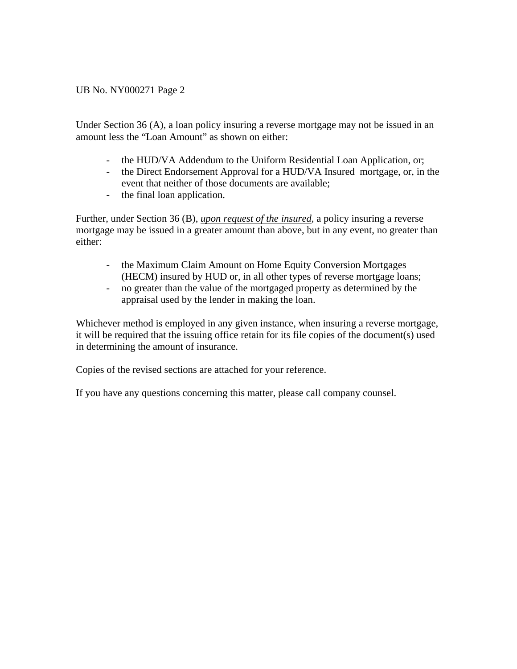### UB No. NY000271 Page 2

Under Section 36 (A), a loan policy insuring a reverse mortgage may not be issued in an amount less the "Loan Amount" as shown on either:

- the HUD/VA Addendum to the Uniform Residential Loan Application, or;
- the Direct Endorsement Approval for a HUD/VA Insured mortgage, or, in the event that neither of those documents are available;
- the final loan application.

Further, under Section 36 (B), *upon request of the insured*, a policy insuring a reverse mortgage may be issued in a greater amount than above, but in any event, no greater than either:

- the Maximum Claim Amount on Home Equity Conversion Mortgages (HECM) insured by HUD or, in all other types of reverse mortgage loans;
- no greater than the value of the mortgaged property as determined by the appraisal used by the lender in making the loan.

Whichever method is employed in any given instance, when insuring a reverse mortgage, it will be required that the issuing office retain for its file copies of the document(s) used in determining the amount of insurance.

Copies of the revised sections are attached for your reference.

If you have any questions concerning this matter, please call company counsel.